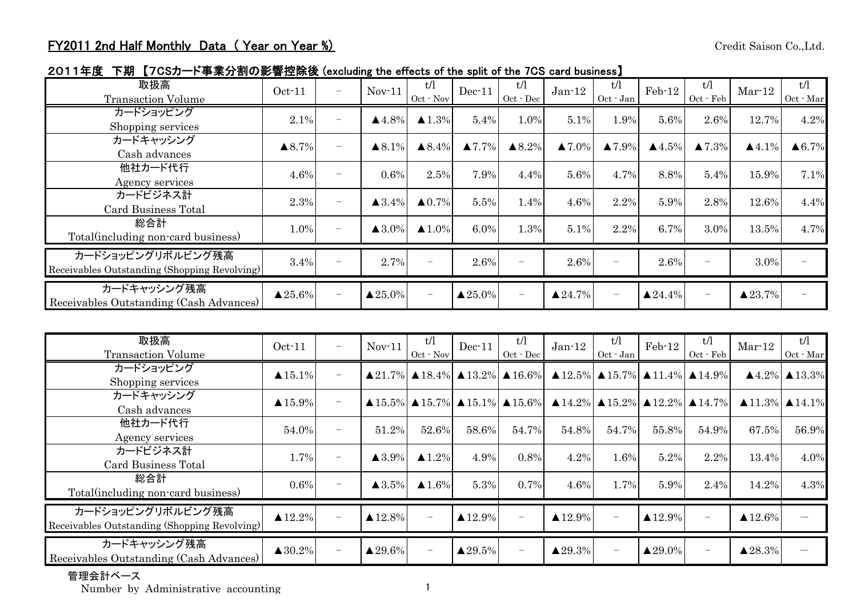2011年度 下期 【7CSカード事業分割の影響控除後 (excluding the effects of the split of the 7CS card business】

| 取扱高<br><b>Transaction Volume</b>                                  | $Oct-11$           | $\overline{\phantom{m}}$ | $Nov-11$              | t/l<br>Oct - Nov      | $Dec-11$           | t/l<br>Oct - Dec         | $Jan-12$               | t/l<br>Oct - Jan       | Feb-12             | t/l<br>Oct - Feb       | $Mar-12$              | t/l<br>Oct - Mar  |
|-------------------------------------------------------------------|--------------------|--------------------------|-----------------------|-----------------------|--------------------|--------------------------|------------------------|------------------------|--------------------|------------------------|-----------------------|-------------------|
| カードショッピング<br>Shopping services                                    | 2.1%               | $\overline{\phantom{m}}$ | $\triangle$ 4.8%      | $\blacktriangle$ 1.3% | 5.4%               | 1.0%                     | 5.1%                   | 1.9%                   | 5.6%               | 2.6%                   | 12.7%                 | 4.2%              |
| カードキャッシング<br>Cash advances                                        | $\triangle 8.7\%$  | $\overline{\phantom{0}}$ | $\triangle 8.1\%$     | $\triangle 8.4\%$     | $\triangle 7.7\%$  | $\triangle 8.2\%$        | $\blacktriangle 7.0\%$ | $\blacktriangle 7.9\%$ | $\triangle 4.5\%$  | $\blacktriangle 7.3\%$ | $\blacktriangle$ 4.1% | $\triangle 6.7\%$ |
| 他社カード代行<br>Agency services                                        | 4.6%               | $\overline{\phantom{a}}$ | 0.6%                  | 2.5%                  | 7.9%               | 4.4%                     | 5.6%                   | 4.7%                   | 8.8%               | 5.4%                   | 15.9%                 | 7.1%              |
| カードビジネス計<br><b>Card Business Total</b>                            | 2.3%               | $\overline{\phantom{0}}$ | $\triangle$ 3.4%      | $\triangle 0.7\%$     | 5.5%               | 1.4%                     | 4.6%                   | 2.2%                   | 5.9%               | 2.8%                   | 12.6%                 | 4.4%              |
| 総合計<br>Total(including non-card business)                         | 1.0%               | $\overline{\phantom{0}}$ | $\blacktriangle$ 3.0% | $\triangle 1.0\%$     | $6.0\%$            | 1.3%                     | 5.1%                   | 2.2%                   | 6.7%               | 3.0%                   | 13.5%                 | 4.7%              |
| カードショッピングリボルビング残高<br>Receivables Outstanding (Shopping Revolving) | 3.4%               | $\overline{\phantom{0}}$ | 2.7%                  |                       | 2.6%               | $\overline{\phantom{m}}$ | 2.6%                   |                        | 2.6%               | -                      | 3.0%                  |                   |
| カードキャッシング残高<br>Receivables Outstanding (Cash Advances)            | $\triangle 25.6\%$ | $\overline{\phantom{0}}$ | $\triangle 25.0\%$    |                       | $\triangle 25.0\%$ | $\overline{\phantom{m}}$ | $\triangle 24.7\%$     | $\qquad \qquad -$      | $\triangle 24.4\%$ | -                      | $\triangle 23.7\%$    |                   |

| 取扱高<br><b>Transaction Volume</b>                                  | $Oct-11$           | $\overline{\phantom{0}}$ | $Nov-11$           | t/l<br>Oct - Nov      | $Dec-11$           | t/l<br>$Oct - Dec$       | $Jan-12$                                                                                                                                        | t/l<br>Oct - Jan         | $Feb-12$           | t/l<br>Oct - Feb | $Mar-12$                                                                                                                                                                            | t/l<br>Oct - Mar                     |
|-------------------------------------------------------------------|--------------------|--------------------------|--------------------|-----------------------|--------------------|--------------------------|-------------------------------------------------------------------------------------------------------------------------------------------------|--------------------------|--------------------|------------------|-------------------------------------------------------------------------------------------------------------------------------------------------------------------------------------|--------------------------------------|
| カードショッピング<br>Shopping services                                    | $\triangle 15.1\%$ | $\overline{\phantom{0}}$ |                    |                       |                    |                          | $\triangle$ 21.7% $\triangle$ 18.4% $\triangle$ 13.2% $\triangle$ 16.6% $\triangle$ 12.5% $\triangle$ 15.7% $\triangle$ 11.4% $\triangle$ 14.9% |                          |                    |                  |                                                                                                                                                                                     | $\triangle 4.2\%$ $\triangle 13.3\%$ |
| カードキャッシング<br>Cash advances                                        | $\triangle 15.9\%$ | $\overline{\phantom{0}}$ |                    |                       |                    |                          |                                                                                                                                                 |                          |                    |                  | $\triangle$ 15.5% $\triangle$ 15.7% $\triangle$ 15.1% $\triangle$ 15.6% $\triangle$ 14.2% $\triangle$ 15.2% $\triangle$ 12.2% $\triangle$ 14.7% $\triangle$ 11.3% $\triangle$ 14.1% |                                      |
| 他社カード代行<br>Agency services                                        | 54.0%              | $\overline{\phantom{0}}$ | 51.2%              | 52.6%                 | 58.6%              | 54.7%                    | 54.8%                                                                                                                                           | 54.7%                    | 55.8%              | 54.9%            | 67.5%                                                                                                                                                                               | 56.9%                                |
| カードビジネス計<br>Card Business Total                                   | 1.7%               | $\overline{\phantom{0}}$ | $\triangle$ 3.9%   | $\blacktriangle$ 1.2% | 4.9%               | 0.8%                     | 4.2%                                                                                                                                            | 1.6%                     | 5.2%               | 2.2%             | 13.4%                                                                                                                                                                               | 4.0%                                 |
| 総合計<br>Total (including non-card business)                        | $0.6\%$            | $\overline{\phantom{m}}$ | $\triangle$ 3.5%   | $\triangle 1.6\%$     | 5.3%               | 0.7%                     | 4.6%                                                                                                                                            | 1.7%                     | 5.9%               | 2.4%             | 14.2%                                                                                                                                                                               | 4.3%                                 |
| カードショッピングリボルビング残高<br>Receivables Outstanding (Shopping Revolving) | $\triangle 12.2\%$ | $\overline{\phantom{0}}$ | $\triangle 12.8\%$ |                       | $\triangle 12.9\%$ | $\overline{\phantom{0}}$ | $\blacktriangle$ 12.9%                                                                                                                          | $\overline{\phantom{0}}$ | $\triangle 12.9\%$ |                  | $\blacktriangle$ 12.6%                                                                                                                                                              |                                      |
| カードキャッシング残高<br>Receivables Outstanding (Cash Advances)            | $\triangle 30.2\%$ | $\overline{\phantom{m}}$ | $\triangle 29.6\%$ |                       | $\triangle 29.5\%$ | $\overline{\phantom{0}}$ | $\triangle 29.3\%$                                                                                                                              | $\qquad \qquad -$        | $\triangle 29.0\%$ |                  | $\blacktriangle 28.3\%$                                                                                                                                                             |                                      |

## 管理会計ベース

Number b y Administrative accountin g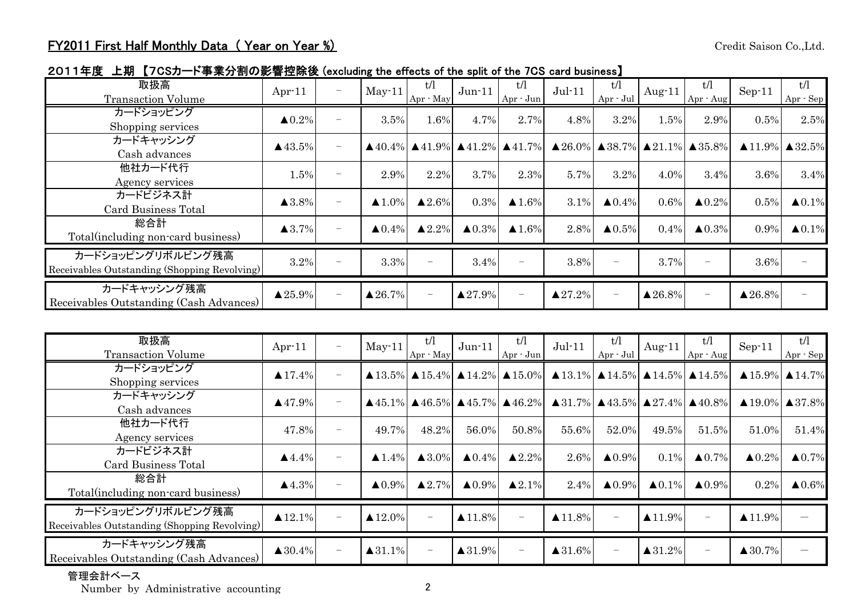2011年度 上期 【7CSカード事業分割の影響控除後 (excluding the effects of the split of the 7CS card business】

| 取扱高<br><b>Transaction Volume</b>                                  | Apr $-11$             | $\overline{\phantom{0}}$ | $May-11$           | t/l<br>Apr - May       | $Jun-11$           | t/l<br>$Apr - Jun$       | $Jul-11$                                                                                                                                        | t/l<br>$Apr \cdot Jul$ | Aug $-11$          | t/l<br>Apr - Aug  | $Sep-11$                              | t/l<br>Apr - Sep       |
|-------------------------------------------------------------------|-----------------------|--------------------------|--------------------|------------------------|--------------------|--------------------------|-------------------------------------------------------------------------------------------------------------------------------------------------|------------------------|--------------------|-------------------|---------------------------------------|------------------------|
| カードショッピング<br>Shopping services                                    | $\triangle 0.2\%$     | $\overline{\phantom{0}}$ | 3.5%               | 1.6%                   | 4.7%               | 2.7%                     | 4.8%                                                                                                                                            | 3.2%                   | 1.5%               | 2.9%              | 0.5%                                  | 2.5%                   |
| カードキャッシング<br>Cash advances                                        | $\triangle$ 43.5%     | $\overline{\phantom{0}}$ |                    |                        |                    |                          | $\triangle$ 40.4% $\triangle$ 41.9% $\triangle$ 41.2% $\triangle$ 41.7% $\triangle$ 26.0% $\triangle$ 38.7% $\triangle$ 21.1% $\triangle$ 35.8% |                        |                    |                   | $\triangle 11.9\%$ $\triangle 32.5\%$ |                        |
| 他社カード代行<br>Agency services                                        | 1.5%                  | $\overline{\phantom{0}}$ | 2.9%               | 2.2%                   | 3.7%               | 2.3%                     | 5.7%                                                                                                                                            | 3.2%                   | 4.0%               | 3.4%              | 3.6%                                  | 3.4%                   |
| カードビジネス計<br>Card Business Total                                   | $\blacktriangle$ 3.8% | $\overline{\phantom{0}}$ | $\triangle 1.0\%$  | $\blacktriangle 2.6\%$ | 0.3%               | $\blacktriangle$ 1.6%    | 3.1%                                                                                                                                            | $\triangle 0.4\%$      | $0.6\%$            | $\triangle 0.2\%$ | 0.5%                                  | $\blacktriangle 0.1\%$ |
| 総合計<br>Total (including non-card business)                        | $\blacktriangle$ 3.7% | $\overline{\phantom{0}}$ | $\triangle 0.4\%$  | $\triangle 2.2\%$      | $\triangle 0.3\%$  | $\triangle$ 1.6%         | 2.8%                                                                                                                                            | $\triangle 0.5\%$      | $0.4\%$            | $\triangle 0.3\%$ | 0.9%                                  | $\triangle 0.1\%$      |
| カードショッピングリボルビング残高<br>Receivables Outstanding (Shopping Revolving) | 3.2%                  | $\overline{\phantom{0}}$ | 3.3%               |                        | 3.4%               | $\overline{\phantom{0}}$ | 3.8%                                                                                                                                            |                        | 3.7%               | -                 | 3.6%                                  |                        |
| カードキャッシング残高<br>Receivables Outstanding (Cash Advances)            | $\triangle 25.9\%$    | $\overline{\phantom{0}}$ | $\triangle 26.7\%$ |                        | $\triangle 27.9\%$ | $\overline{\phantom{0}}$ | $\blacktriangle 27.2\%$                                                                                                                         |                        | $\triangle 26.8\%$ | -                 | $\blacktriangle 26.8\%$               |                        |

| 取扱高<br><b>Transaction Volume</b>                                  | Apr $-11$             | $\qquad \qquad -$        | $May-11$           | t/l<br>Apr - May  | $Jun-11$           | t/l<br>$Apr - Jun$                                                      | $Jul-11$               | t/l<br>$Apr \cdot Jul$   | Aug $-11$          | t/l<br>Apr - Aug                                                        | $Sep-11$                                                                                                                                                                            | t/l<br>Apr - Sep                    |
|-------------------------------------------------------------------|-----------------------|--------------------------|--------------------|-------------------|--------------------|-------------------------------------------------------------------------|------------------------|--------------------------|--------------------|-------------------------------------------------------------------------|-------------------------------------------------------------------------------------------------------------------------------------------------------------------------------------|-------------------------------------|
| カードショッピング<br>Shopping services                                    | $\triangle 17.4\%$    | $\overline{\phantom{m}}$ |                    |                   |                    | $\triangle$ 13.5% $\triangle$ 15.4% $\triangle$ 14.2% $\triangle$ 15.0% |                        |                          |                    | $\triangle$ 13.1% $\triangle$ 14.5% $\triangle$ 14.5% $\triangle$ 14.5% |                                                                                                                                                                                     | $\triangle$ 15.9% $\triangle$ 14.7% |
| カードキャッシング<br>Cash advances                                        | $\triangle$ 47.9%     | $\overline{\phantom{0}}$ |                    |                   |                    |                                                                         |                        |                          |                    |                                                                         | $\triangle$ 45.1% $\triangle$ 46.5% $\triangle$ 45.7% $\triangle$ 46.2% $\triangle$ 31.7% $\triangle$ 43.5% $\triangle$ 27.4% $\triangle$ 40.8% $\triangle$ 19.0% $\triangle$ 37.8% |                                     |
| 他社カード代行<br>Agency services                                        | 47.8%                 | $\overline{\phantom{m}}$ | 49.7%              | 48.2%             | 56.0%              | 50.8%                                                                   | 55.6%                  | 52.0%                    | 49.5%              | 51.5%                                                                   | 51.0%                                                                                                                                                                               | 51.4%                               |
| カードビジネス計<br><b>Card Business Total</b>                            | $\blacktriangle$ 4.4% | $\overline{\phantom{m}}$ | $\triangle 1.4\%$  | $\triangle 3.0\%$ | $\triangle 0.4\%$  | $\blacktriangle 2.2\%$                                                  | 2.6%                   | $\triangle 0.9\%$        | $0.1\%$            | $\triangle 0.7\%$                                                       | $\triangle 0.2\%$                                                                                                                                                                   | $\triangle 0.7\%$                   |
| 総合計<br>Total(including non-card business)                         | $\blacktriangle$ 4.3% |                          | $\triangle 0.9\%$  | $\triangle 2.7\%$ | $\triangle 0.9\%$  | $\triangle 2.1\%$                                                       | 2.4%                   | $\triangle 0.9\%$        | $\triangle 0.1\%$  | $\triangle 0.9\%$                                                       | 0.2%                                                                                                                                                                                | $\blacktriangle 0.6\%$              |
| カードショッピングリボルビング残高<br>Receivables Outstanding (Shopping Revolving) | $\triangle 12.1\%$    | $\overline{\phantom{0}}$ | $\triangle 12.0\%$ |                   | $\triangle 11.8\%$ | $\overline{\phantom{0}}$                                                | $\blacktriangle$ 11.8% | $\overline{\phantom{m}}$ | $\triangle 11.9\%$ |                                                                         | $\blacktriangle$ 11.9%                                                                                                                                                              |                                     |
| カードキャッシング残高<br>Receivables Outstanding (Cash Advances)            | $\triangle 30.4\%$    | $\overline{\phantom{0}}$ | $\triangle 31.1\%$ |                   | $\triangle 31.9\%$ | $\overline{\phantom{0}}$                                                | $\triangle 31.6\%$     |                          | $\triangle 31.2\%$ |                                                                         | $\blacktriangle$ 30.7%                                                                                                                                                              |                                     |

## 管理会計ベース

Number b y Administrative accountin g